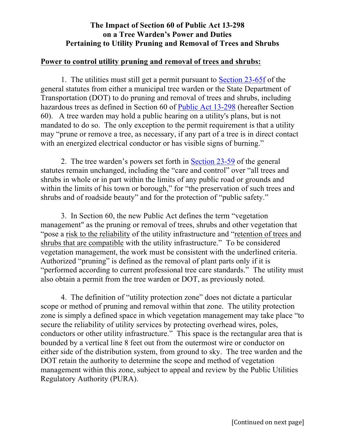## **The Impact of Section 60 of Public Act 13-298 on a Tree Warden's Power and Duties Pertaining to Utility Pruning and Removal of Trees and Shrubs**

## **Power to control utility pruning and removal of trees and shrubs:**

1. The utilities must still get a permit pursuant to [Section 23-65f](http://www.cga.ct.gov/current/pub/chap_451.htm#sec_23-65) of the general statutes from either a municipal tree warden or the State Department of Transportation (DOT) to do pruning and removal of trees and shrubs, including hazardous trees as defined in Section 60 of Public Act [13-298](http://www.cga.ct.gov/2013/ACT/pa/pdf/2013PA-00298-R00HB-06360-PA.pdf) (hereafter Section 60). A tree warden may hold a public hearing on a utility's plans, but is not mandated to do so. The only exception to the permit requirement is that a utility may "prune or remove a tree, as necessary, if any part of a tree is in direct contact with an energized electrical conductor or has visible signs of burning."

2. The tree warden's powers set forth in [Section](http://www.cga.ct.gov/current/pub/chap_451.htm#sec_23-59) 23-59 of the general statutes remain unchanged, including the "care and control" over "all trees and shrubs in whole or in part within the limits of any public road or grounds and within the limits of his town or borough," for "the preservation of such trees and shrubs and of roadside beauty" and for the protection of "public safety."

3. In Section 60, the new Public Act defines the term "vegetation management" as the pruning or removal of trees, shrubs and other vegetation that "pose a risk to the reliability of the utility infrastructure and "retention of trees and shrubs that are compatible with the utility infrastructure." To be considered vegetation management, the work must be consistent with the underlined criteria. Authorized "pruning" is defined as the removal of plant parts only if it is "performed according to current professional tree care standards." The utility must also obtain a permit from the tree warden or DOT, as previously noted.

4. The definition of "utility protection zone" does not dictate a particular scope or method of pruning and removal within that zone. The utility protection zone is simply a defined space in which vegetation management may take place "to secure the reliability of utility services by protecting overhead wires, poles, conductors or other utility infrastructure." This space is the rectangular area that is bounded by a vertical line 8 feet out from the outermost wire or conductor on either side of the distribution system, from ground to sky. The tree warden and the DOT retain the authority to determine the scope and method of vegetation management within this zone, subject to appeal and review by the Public Utilities Regulatory Authority (PURA).